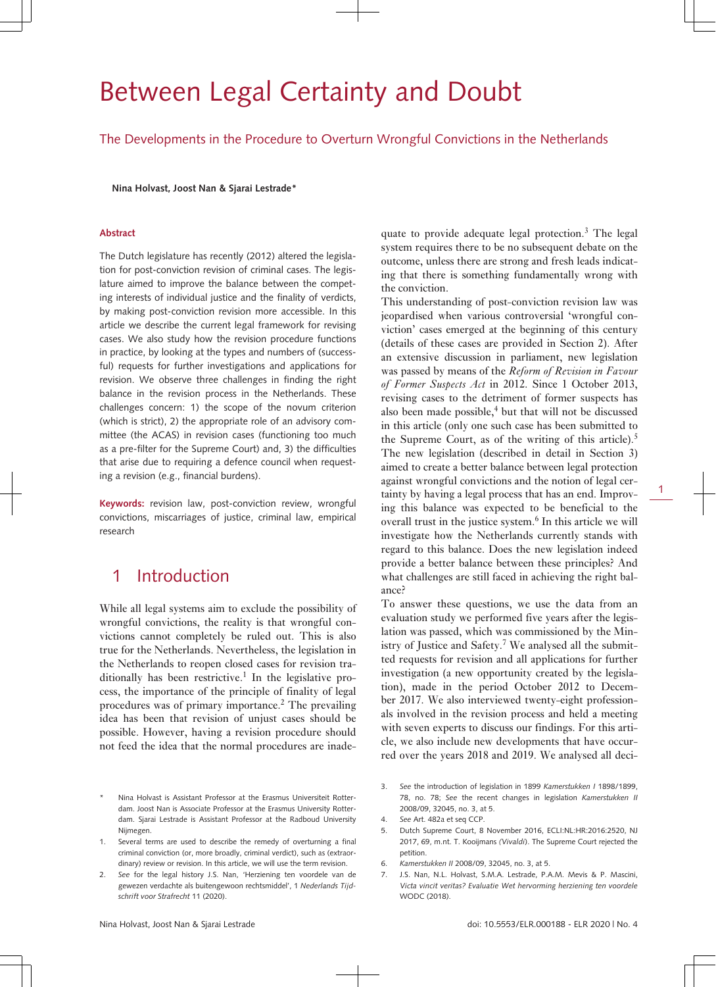# Between Legal Certainty and Doubt

The Developments in the Procedure to Overturn Wrongful Convictions in the Netherlands

**Nina Holvast, Joost Nan & Sjarai Lestrade\***

### **Abstract**

The Dutch legislature has recently (2012) altered the legislation for post-conviction revision of criminal cases. The legislature aimed to improve the balance between the competing interests of individual justice and the finality of verdicts, by making post-conviction revision more accessible. In this article we describe the current legal framework for revising cases. We also study how the revision procedure functions in practice, by looking at the types and numbers of (successful) requests for further investigations and applications for revision. We observe three challenges in finding the right balance in the revision process in the Netherlands. These challenges concern: 1) the scope of the novum criterion (which is strict), 2) the appropriate role of an advisory committee (the ACAS) in revision cases (functioning too much as a pre-filter for the Supreme Court) and, 3) the difficulties that arise due to requiring a defence council when requesting a revision (e.g., financial burdens).

**Keywords:** revision law, post-conviction review, wrongful convictions, miscarriages of justice, criminal law, empirical research

# 1 Introduction

While all legal systems aim to exclude the possibility of wrongful convictions, the reality is that wrongful convictions cannot completely be ruled out. This is also true for the Netherlands. Nevertheless, the legislation in the Netherlands to reopen closed cases for revision traditionally has been restrictive.<sup>1</sup> In the legislative process, the importance of the principle of finality of legal procedures was of primary importance.<sup>2</sup> The prevailing idea has been that revision of unjust cases should be possible. However, having a revision procedure should not feed the idea that the normal procedures are inadequate to provide adequate legal protection.<sup>3</sup> The legal system requires there to be no subsequent debate on the outcome, unless there are strong and fresh leads indicating that there is something fundamentally wrong with the conviction.

This understanding of post-conviction revision law was jeopardised when various controversial 'wrongful conviction' cases emerged at the beginning of this century (details of these cases are provided in Section 2). After an extensive discussion in parliament, new legislation was passed by means of the *Reform of Revision in Favour of Former Suspects Act* in 2012. Since 1 October 2013, revising cases to the detriment of former suspects has also been made possible,<sup>4</sup> but that will not be discussed in this article (only one such case has been submitted to the Supreme Court, as of the writing of this article).<sup>5</sup> The new legislation (described in detail in Section 3) aimed to create a better balance between legal protection against wrongful convictions and the notion of legal certainty by having a legal process that has an end. Improving this balance was expected to be beneficial to the overall trust in the justice system.<sup>6</sup> In this article we will investigate how the Netherlands currently stands with regard to this balance. Does the new legislation indeed provide a better balance between these principles? And what challenges are still faced in achieving the right balance?

1

To answer these questions, we use the data from an evaluation study we performed five years after the legislation was passed, which was commissioned by the Ministry of Justice and Safety.<sup>7</sup> We analysed all the submitted requests for revision and all applications for further investigation (a new opportunity created by the legislation), made in the period October 2012 to December 2017. We also interviewed twenty-eight professionals involved in the revision process and held a meeting with seven experts to discuss our findings. For this article, we also include new developments that have occurred over the years 2018 and 2019. We analysed all deci-

- 5. Dutch Supreme Court, 8 November 2016, ECLI:NL:HR:2016:2520, NJ 2017, 69, m.nt. T. Kooijmans *(Vivaldi*). The Supreme Court rejected the petition.
- 6. *Kamerstukken II* 2008/09, 32045, no. 3, at 5.
- J.S. Nan, N.L. Holvast, S.M.A. Lestrade, P.A.M. Mevis & P. Mascini, *Victa vincit veritas? Evaluatie Wet hervorming herziening ten voordele* WODC (2018).

Nina Holvast is Assistant Professor at the Frasmus Universiteit Rotterdam. Joost Nan is Associate Professor at the Erasmus University Rotterdam. Sjarai Lestrade is Assistant Professor at the Radboud University Nijmegen.

<sup>1.</sup> Several terms are used to describe the remedy of overturning a final criminal conviction (or, more broadly, criminal verdict), such as (extraordinary) review or revision. In this article, we will use the term revision.

<sup>2.</sup> *See* for the legal history J.S. Nan, 'Herziening ten voordele van de gewezen verdachte als buitengewoon rechtsmiddel', 1 *Nederlands Tijdschrift voor Strafrecht* 11 (2020).

<sup>3.</sup> *See* the introduction of legislation in 1899 *Kamerstukken I* 1898/1899, 78, no. 78; *See* the recent changes in legislation *Kamerstukken II* 2008/09, 32045, no. 3, at 5.

<sup>4.</sup> *See* Art. 482a et seq CCP.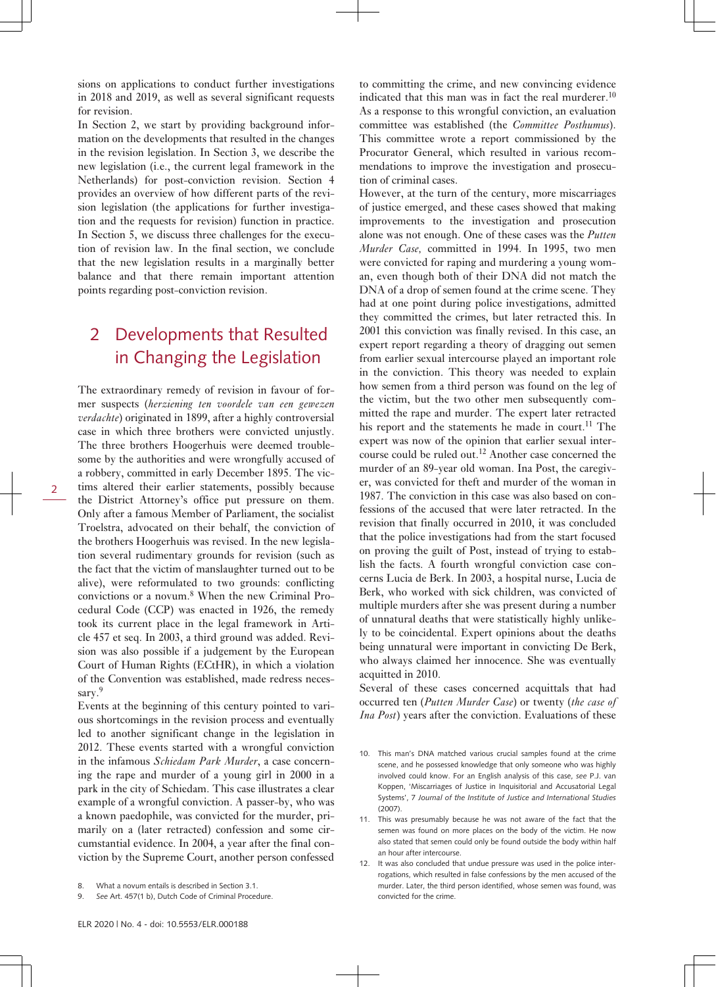sions on applications to conduct further investigations in 2018 and 2019, as well as several significant requests for revision.

In Section 2, we start by providing background information on the developments that resulted in the changes in the revision legislation. In Section 3, we describe the new legislation (i.e., the current legal framework in the Netherlands) for post-conviction revision. Section 4 provides an overview of how different parts of the revision legislation (the applications for further investigation and the requests for revision) function in practice. In Section 5, we discuss three challenges for the execution of revision law. In the final section, we conclude that the new legislation results in a marginally better balance and that there remain important attention points regarding post-conviction revision.

# 2 Developments that Resulted in Changing the Legislation

The extraordinary remedy of revision in favour of for-

mer suspects (*herziening ten voordele van een gewezen verdachte*) originated in 1899, after a highly controversial case in which three brothers were convicted unjustly. The three brothers Hoogerhuis were deemed troublesome by the authorities and were wrongfully accused of a robbery, committed in early December 1895. The victims altered their earlier statements, possibly because the District Attorney's office put pressure on them. Only after a famous Member of Parliament, the socialist Troelstra, advocated on their behalf, the conviction of the brothers Hoogerhuis was revised. In the new legislation several rudimentary grounds for revision (such as the fact that the victim of manslaughter turned out to be alive), were reformulated to two grounds: conflicting convictions or a novum.<sup>8</sup> When the new Criminal Procedural Code (CCP) was enacted in 1926, the remedy took its current place in the legal framework in Article 457 et seq. In 2003, a third ground was added. Revision was also possible if a judgement by the European Court of Human Rights (ECtHR), in which a violation of the Convention was established, made redress necessary.<sup>9</sup>

Events at the beginning of this century pointed to various shortcomings in the revision process and eventually led to another significant change in the legislation in 2012. These events started with a wrongful conviction in the infamous *Schiedam Park Murder*, a case concerning the rape and murder of a young girl in 2000 in a park in the city of Schiedam. This case illustrates a clear example of a wrongful conviction. A passer-by, who was a known paedophile, was convicted for the murder, primarily on a (later retracted) confession and some circumstantial evidence. In 2004, a year after the final conviction by the Supreme Court, another person confessed

9. *See* Art. 457(1 b), Dutch Code of Criminal Procedure.

to committing the crime, and new convincing evidence indicated that this man was in fact the real murderer.<sup>10</sup> As a response to this wrongful conviction, an evaluation committee was established (the *Committee Posthumus*). This committee wrote a report commissioned by the Procurator General, which resulted in various recommendations to improve the investigation and prosecution of criminal cases.

However, at the turn of the century, more miscarriages of justice emerged, and these cases showed that making improvements to the investigation and prosecution alone was not enough. One of these cases was the *Putten Murder Case,* committed in 1994. In 1995, two men were convicted for raping and murdering a young woman, even though both of their DNA did not match the DNA of a drop of semen found at the crime scene. They had at one point during police investigations, admitted they committed the crimes, but later retracted this. In 2001 this conviction was finally revised. In this case, an expert report regarding a theory of dragging out semen from earlier sexual intercourse played an important role in the conviction. This theory was needed to explain how semen from a third person was found on the leg of the victim, but the two other men subsequently committed the rape and murder. The expert later retracted his report and the statements he made in court.<sup>11</sup> The expert was now of the opinion that earlier sexual intercourse could be ruled out.<sup>12</sup> Another case concerned the murder of an 89-year old woman. Ina Post, the caregiver, was convicted for theft and murder of the woman in 1987. The conviction in this case was also based on confessions of the accused that were later retracted. In the revision that finally occurred in 2010, it was concluded that the police investigations had from the start focused on proving the guilt of Post, instead of trying to establish the facts. A fourth wrongful conviction case concerns Lucia de Berk. In 2003, a hospital nurse, Lucia de Berk, who worked with sick children, was convicted of multiple murders after she was present during a number of unnatural deaths that were statistically highly unlikely to be coincidental. Expert opinions about the deaths being unnatural were important in convicting De Berk, who always claimed her innocence. She was eventually acquitted in 2010.

Several of these cases concerned acquittals that had occurred ten (*Putten Murder Case*) or twenty (*the case of Ina Post*) years after the conviction. Evaluations of these

- 10. This man's DNA matched various crucial samples found at the crime scene, and he possessed knowledge that only someone who was highly involved could know. For an English analysis of this case, *see* P.J. van Koppen, 'Miscarriages of Justice in Inquisitorial and Accusatorial Legal Systems', 7 *Journal of the Institute of Justice and International Studies* (2007).
- 11. This was presumably because he was not aware of the fact that the semen was found on more places on the body of the victim. He now also stated that semen could only be found outside the body within half an hour after intercourse.
- 12. It was also concluded that undue pressure was used in the police interrogations, which resulted in false confessions by the men accused of the murder. Later, the third person identified, whose semen was found, was convicted for the crime.

<sup>8.</sup> What a novum entails is described in Section 3.1.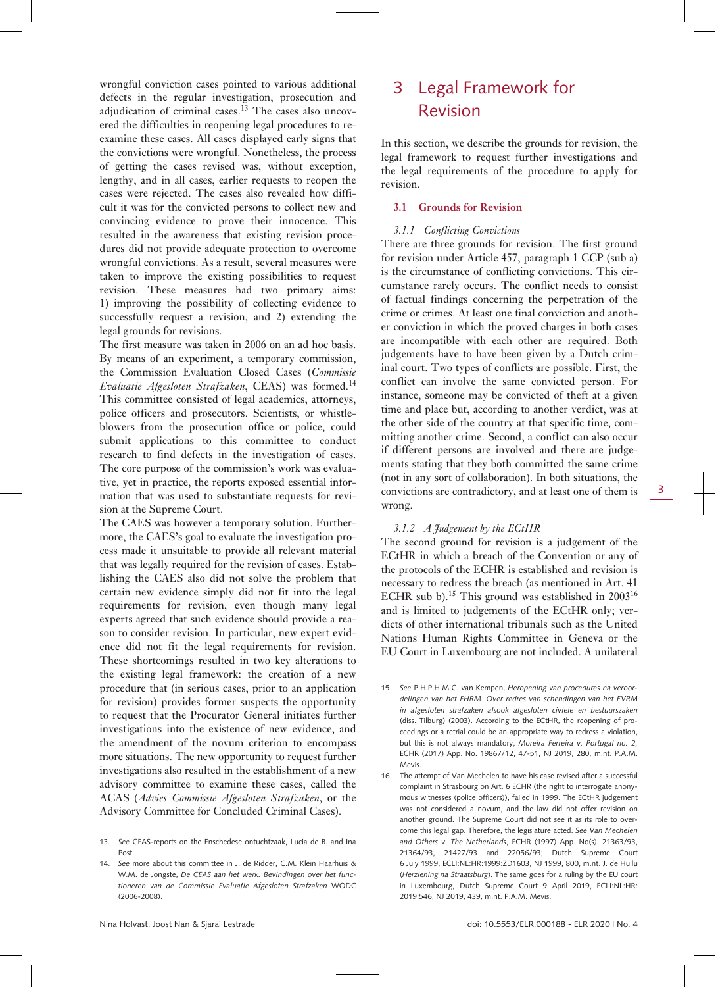wrongful conviction cases pointed to various additional defects in the regular investigation, prosecution and adjudication of criminal cases.13 The cases also uncovered the difficulties in reopening legal procedures to reexamine these cases. All cases displayed early signs that the convictions were wrongful. Nonetheless, the process of getting the cases revised was, without exception, lengthy, and in all cases, earlier requests to reopen the cases were rejected. The cases also revealed how difficult it was for the convicted persons to collect new and convincing evidence to prove their innocence. This resulted in the awareness that existing revision procedures did not provide adequate protection to overcome wrongful convictions. As a result, several measures were taken to improve the existing possibilities to request revision. These measures had two primary aims: 1) improving the possibility of collecting evidence to successfully request a revision, and 2) extending the legal grounds for revisions.

The first measure was taken in 2006 on an ad hoc basis. By means of an experiment, a temporary commission, the Commission Evaluation Closed Cases (*Commissie Evaluatie Afgesloten Strafzaken*, CEAS) was formed.<sup>14</sup> This committee consisted of legal academics, attorneys, police officers and prosecutors. Scientists, or whistleblowers from the prosecution office or police, could submit applications to this committee to conduct research to find defects in the investigation of cases. The core purpose of the commission's work was evaluative, yet in practice, the reports exposed essential information that was used to substantiate requests for revision at the Supreme Court.

The CAES was however a temporary solution. Furthermore, the CAES's goal to evaluate the investigation process made it unsuitable to provide all relevant material that was legally required for the revision of cases. Establishing the CAES also did not solve the problem that certain new evidence simply did not fit into the legal requirements for revision, even though many legal experts agreed that such evidence should provide a reason to consider revision. In particular, new expert evidence did not fit the legal requirements for revision. These shortcomings resulted in two key alterations to the existing legal framework: the creation of a new procedure that (in serious cases, prior to an application for revision) provides former suspects the opportunity to request that the Procurator General initiates further investigations into the existence of new evidence, and the amendment of the novum criterion to encompass more situations. The new opportunity to request further investigations also resulted in the establishment of a new advisory committee to examine these cases, called the ACAS (*Advies Commissie Afgesloten Strafzaken*, or the Advisory Committee for Concluded Criminal Cases).

# 3 Legal Framework for Revision

In this section, we describe the grounds for revision, the legal framework to request further investigations and the legal requirements of the procedure to apply for revision.

### **3.1 Grounds for Revision**

### *3.1.1 Conflicting Convictions*

There are three grounds for revision. The first ground for revision under Article 457, paragraph 1 CCP (sub a) is the circumstance of conflicting convictions. This circumstance rarely occurs. The conflict needs to consist of factual findings concerning the perpetration of the crime or crimes. At least one final conviction and another conviction in which the proved charges in both cases are incompatible with each other are required. Both judgements have to have been given by a Dutch criminal court. Two types of conflicts are possible. First, the conflict can involve the same convicted person. For instance, someone may be convicted of theft at a given time and place but, according to another verdict, was at the other side of the country at that specific time, committing another crime. Second, a conflict can also occur if different persons are involved and there are judgements stating that they both committed the same crime (not in any sort of collaboration). In both situations, the convictions are contradictory, and at least one of them is wrong.

### *3.1.2 A Judgement by the ECtHR*

The second ground for revision is a judgement of the ECtHR in which a breach of the Convention or any of the protocols of the ECHR is established and revision is necessary to redress the breach (as mentioned in Art. 41 ECHR sub b).<sup>15</sup> This ground was established in  $2003^{16}$ and is limited to judgements of the ECtHR only; verdicts of other international tribunals such as the United Nations Human Rights Committee in Geneva or the EU Court in Luxembourg are not included. A unilateral

15. *See* P.H.P.H.M.C. van Kempen, *Heropening van procedures na veroordelingen van het EHRM. Over redres van schendingen van het EVRM in afgesloten strafzaken alsook afgesloten civiele en bestuurszaken* (diss. Tilburg) (2003). According to the ECtHR, the reopening of proceedings or a retrial could be an appropriate way to redress a violation, but this is not always mandatory, *Moreira Ferreira v. Portugal no. 2,* ECHR (2017) App. No. 19867/12, 47-51, NJ 2019, 280, m.nt. P.A.M. Mevis.

16. The attempt of Van Mechelen to have his case revised after a successful complaint in Strasbourg on Art. 6 ECHR (the right to interrogate anonymous witnesses (police officers)), failed in 1999. The ECtHR judgement was not considered a novum, and the law did not offer revision on another ground. The Supreme Court did not see it as its role to overcome this legal gap. Therefore, the legislature acted. *See Van Mechelen and Others v. The Netherlands*, ECHR (1997) App. No(s). 21363/93, 21364/93, 21427/93 and 22056/93; Dutch Supreme Court 6 July 1999, ECLI:NL:HR:1999:ZD1603, NJ 1999, 800, m.nt. J. de Hullu (*Herziening na Straatsburg*). The same goes for a ruling by the EU court in Luxembourg, Dutch Supreme Court 9 April 2019, ECLI:NL:HR: 2019:546, NJ 2019, 439, m.nt. P.A.M. Mevis.

<sup>13.</sup> *See* CEAS-reports on the Enschedese ontuchtzaak, Lucia de B. and Ina Post.

<sup>14.</sup> *See* more about this committee in J. de Ridder, C.M. Klein Haarhuis & W.M. de Jongste, *De CEAS aan het werk. Bevindingen over het functioneren van de Commissie Evaluatie Afgesloten Strafzaken* WODC (2006-2008).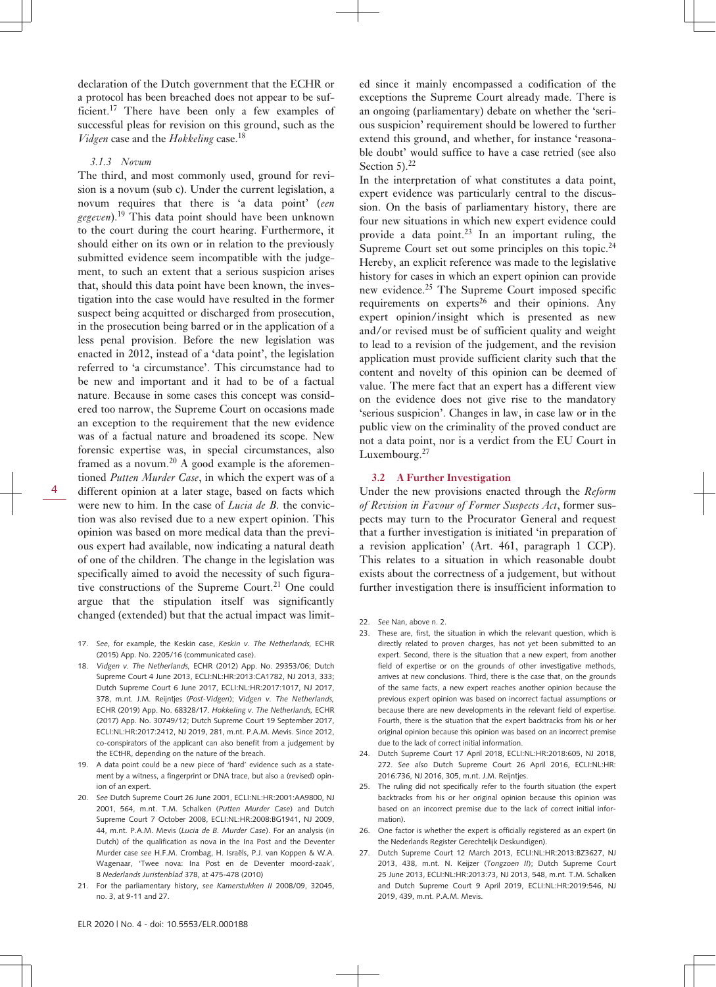declaration of the Dutch government that the ECHR or a protocol has been breached does not appear to be sufficient.<sup>17</sup> There have been only a few examples of successful pleas for revision on this ground, such as the *Vidgen* case and the *Hokkeling* case.<sup>18</sup>

### *3.1.3 Novum*

The third, and most commonly used, ground for revision is a novum (sub c). Under the current legislation, a novum requires that there is 'a data point' (*een gegeven*).<sup>19</sup> This data point should have been unknown to the court during the court hearing. Furthermore, it should either on its own or in relation to the previously submitted evidence seem incompatible with the judgement, to such an extent that a serious suspicion arises that, should this data point have been known, the investigation into the case would have resulted in the former suspect being acquitted or discharged from prosecution, in the prosecution being barred or in the application of a less penal provision. Before the new legislation was enacted in 2012, instead of a 'data point', the legislation referred to 'a circumstance'. This circumstance had to be new and important and it had to be of a factual nature. Because in some cases this concept was considered too narrow, the Supreme Court on occasions made an exception to the requirement that the new evidence was of a factual nature and broadened its scope. New forensic expertise was, in special circumstances, also framed as a novum.<sup>20</sup> A good example is the aforementioned *Putten Murder Case*, in which the expert was of a different opinion at a later stage, based on facts which were new to him. In the case of *Lucia de B.* the conviction was also revised due to a new expert opinion. This opinion was based on more medical data than the previous expert had available, now indicating a natural death of one of the children. The change in the legislation was specifically aimed to avoid the necessity of such figurative constructions of the Supreme Court.<sup>21</sup> One could argue that the stipulation itself was significantly changed (extended) but that the actual impact was limit-

- 17. *See*, for example, the Keskin case, *Keskin v. The Netherlands,* ECHR (2015) App. No. 2205/16 (communicated case).
- 18. *Vidgen v. The Netherlands,* ECHR (2012) App. No. 29353/06; Dutch Supreme Court 4 June 2013, ECLI:NL:HR:2013:CA1782, NJ 2013, 333; Dutch Supreme Court 6 June 2017, ECLI:NL:HR:2017:1017, NJ 2017, 378, m.nt. J.M. Reijntjes (*Post-Vidgen*); *Vidgen v. The Netherlands,* ECHR (2019) App. No. 68328/17. *Hokkeling v. The Netherlands,* ECHR (2017) App. No. 30749/12; Dutch Supreme Court 19 September 2017, ECLI:NL:HR:2017:2412, NJ 2019, 281, m.nt. P.A.M. Mevis. Since 2012, co-conspirators of the applicant can also benefit from a judgement by the ECtHR, depending on the nature of the breach.
- A data point could be a new piece of 'hard' evidence such as a statement by a witness, a fingerprint or DNA trace, but also a (revised) opinion of an expert.
- 20. *See* Dutch Supreme Court 26 June 2001, ECLI:NL:HR:2001:AA9800, NJ 2001, 564, m.nt. T.M. Schalken (*Putten Murder Case*) and Dutch Supreme Court 7 October 2008, ECLI:NL:HR:2008:BG1941, NJ 2009, 44, m.nt. P.A.M. Mevis (*Lucia de B. Murder Case*). For an analysis (in Dutch) of the qualification as nova in the Ina Post and the Deventer Murder case *see* H.F.M. Crombag, H. Israëls, P.J. van Koppen & W.A. Wagenaar, 'Twee nova: Ina Post en de Deventer moord-zaak', 8 *Nederlands Juristenblad* 378, at 475-478 (2010)
- 21. For the parliamentary history, *see Kamerstukken II* 2008/09, 32045, no. 3, at 9-11 and 27.

ed since it mainly encompassed a codification of the exceptions the Supreme Court already made. There is an ongoing (parliamentary) debate on whether the 'serious suspicion' requirement should be lowered to further extend this ground, and whether, for instance 'reasonable doubt' would suffice to have a case retried (see also Section  $5$ ).<sup>22</sup>

In the interpretation of what constitutes a data point, expert evidence was particularly central to the discussion. On the basis of parliamentary history, there are four new situations in which new expert evidence could provide a data point.<sup>23</sup> In an important ruling, the Supreme Court set out some principles on this topic.<sup>24</sup> Hereby, an explicit reference was made to the legislative history for cases in which an expert opinion can provide new evidence.<sup>25</sup> The Supreme Court imposed specific requirements on experts<sup>26</sup> and their opinions. Any expert opinion/insight which is presented as new and/or revised must be of sufficient quality and weight to lead to a revision of the judgement, and the revision application must provide sufficient clarity such that the content and novelty of this opinion can be deemed of value. The mere fact that an expert has a different view on the evidence does not give rise to the mandatory 'serious suspicion'. Changes in law, in case law or in the public view on the criminality of the proved conduct are not a data point, nor is a verdict from the EU Court in Luxembourg.<sup>27</sup>

### **3.2 A Further Investigation**

Under the new provisions enacted through the *Reform of Revision in Favour of Former Suspects Act*, former suspects may turn to the Procurator General and request that a further investigation is initiated 'in preparation of a revision application' (Art. 461, paragraph 1 CCP). This relates to a situation in which reasonable doubt exists about the correctness of a judgement, but without further investigation there is insufficient information to

- 25. The ruling did not specifically refer to the fourth situation (the expert backtracks from his or her original opinion because this opinion was based on an incorrect premise due to the lack of correct initial information).
- 26. One factor is whether the expert is officially registered as an expert (in the Nederlands Register Gerechtelijk Deskundigen).
- 27. Dutch Supreme Court 12 March 2013, ECLI:NL:HR:2013:BZ3627, NJ 2013, 438, m.nt. N. Keijzer (*Tongzoen II*); Dutch Supreme Court 25 June 2013, ECLI:NL:HR:2013:73, NJ 2013, 548, m.nt. T.M. Schalken and Dutch Supreme Court 9 April 2019, ECLI:NL:HR:2019:546, NJ 2019, 439, m.nt. P.A.M. Mevis.

<sup>22.</sup> *See* Nan, above n. 2.

<sup>23.</sup> These are, first, the situation in which the relevant question, which is directly related to proven charges, has not yet been submitted to an expert. Second, there is the situation that a new expert, from another field of expertise or on the grounds of other investigative methods, arrives at new conclusions. Third, there is the case that, on the grounds of the same facts, a new expert reaches another opinion because the previous expert opinion was based on incorrect factual assumptions or because there are new developments in the relevant field of expertise. Fourth, there is the situation that the expert backtracks from his or her original opinion because this opinion was based on an incorrect premise due to the lack of correct initial information.

<sup>24.</sup> Dutch Supreme Court 17 April 2018, ECLI:NL:HR:2018:605, NJ 2018, 272. *See also* Dutch Supreme Court 26 April 2016, ECLI:NL:HR: 2016:736, NJ 2016, 305, m.nt. J.M. Reijntjes.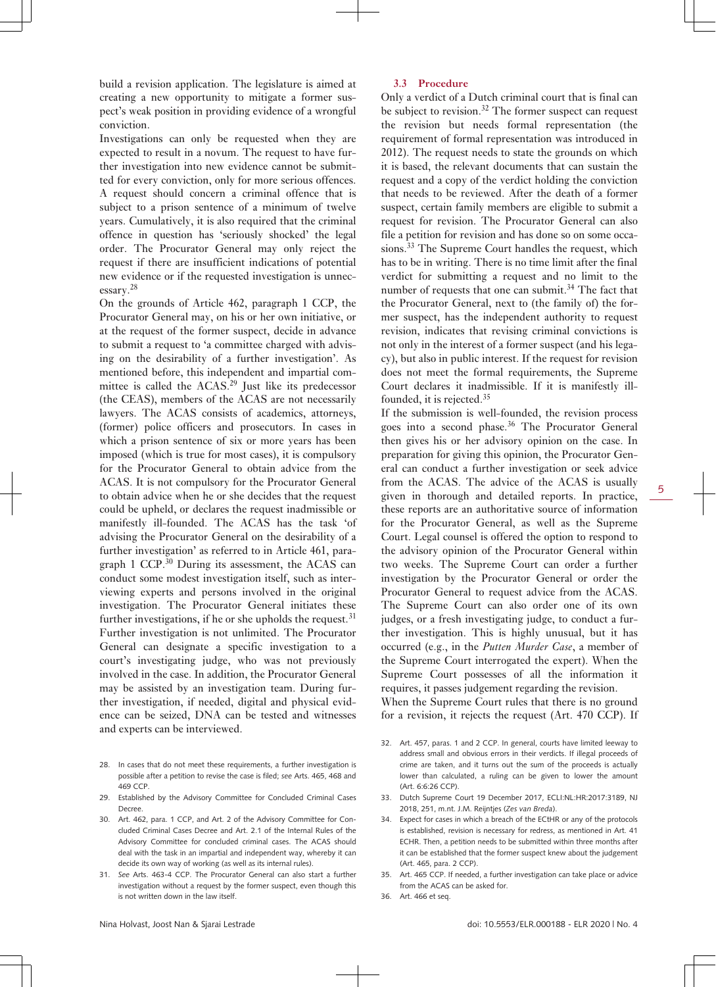build a revision application. The legislature is aimed at creating a new opportunity to mitigate a former suspect's weak position in providing evidence of a wrongful conviction.

Investigations can only be requested when they are expected to result in a novum. The request to have further investigation into new evidence cannot be submitted for every conviction, only for more serious offences. A request should concern a criminal offence that is subject to a prison sentence of a minimum of twelve years. Cumulatively, it is also required that the criminal offence in question has 'seriously shocked' the legal order. The Procurator General may only reject the request if there are insufficient indications of potential new evidence or if the requested investigation is unnecessary.<sup>28</sup>

On the grounds of Article 462, paragraph 1 CCP, the Procurator General may, on his or her own initiative, or at the request of the former suspect, decide in advance to submit a request to 'a committee charged with advising on the desirability of a further investigation'. As mentioned before, this independent and impartial committee is called the  $ACAS<sup>29</sup>$  Just like its predecessor (the CEAS), members of the ACAS are not necessarily lawyers. The ACAS consists of academics, attorneys, (former) police officers and prosecutors. In cases in which a prison sentence of six or more years has been imposed (which is true for most cases), it is compulsory for the Procurator General to obtain advice from the ACAS. It is not compulsory for the Procurator General to obtain advice when he or she decides that the request could be upheld, or declares the request inadmissible or manifestly ill-founded. The ACAS has the task 'of advising the Procurator General on the desirability of a further investigation' as referred to in Article 461, paragraph 1 CCP.30 During its assessment, the ACAS can conduct some modest investigation itself, such as interviewing experts and persons involved in the original investigation. The Procurator General initiates these further investigations, if he or she upholds the request.<sup>31</sup> Further investigation is not unlimited. The Procurator General can designate a specific investigation to a court's investigating judge, who was not previously involved in the case. In addition, the Procurator General may be assisted by an investigation team. During further investigation, if needed, digital and physical evidence can be seized, DNA can be tested and witnesses and experts can be interviewed.

- 28. In cases that do not meet these requirements, a further investigation is possible after a petition to revise the case is filed; *see* Arts. 465, 468 and 469 CCP.
- 29. Established by the Advisory Committee for Concluded Criminal Cases Decree.
- 30. Art. 462, para. 1 CCP, and Art. 2 of the Advisory Committee for Concluded Criminal Cases Decree and Art. 2.1 of the Internal Rules of the Advisory Committee for concluded criminal cases. The ACAS should deal with the task in an impartial and independent way, whereby it can decide its own way of working (as well as its internal rules).
- 31. *See* Arts. 463-4 CCP. The Procurator General can also start a further investigation without a request by the former suspect, even though this is not written down in the law itself.

### **3.3 Procedure**

Only a verdict of a Dutch criminal court that is final can be subject to revision.<sup>32</sup> The former suspect can request the revision but needs formal representation (the requirement of formal representation was introduced in 2012). The request needs to state the grounds on which it is based, the relevant documents that can sustain the request and a copy of the verdict holding the conviction that needs to be reviewed. After the death of a former suspect, certain family members are eligible to submit a request for revision. The Procurator General can also file a petition for revision and has done so on some occasions.<sup>33</sup> The Supreme Court handles the request, which has to be in writing. There is no time limit after the final verdict for submitting a request and no limit to the number of requests that one can submit.<sup>34</sup> The fact that the Procurator General, next to (the family of) the former suspect, has the independent authority to request revision, indicates that revising criminal convictions is not only in the interest of a former suspect (and his legacy), but also in public interest. If the request for revision does not meet the formal requirements, the Supreme Court declares it inadmissible. If it is manifestly illfounded, it is rejected.<sup>35</sup>

If the submission is well-founded, the revision process goes into a second phase.36 The Procurator General then gives his or her advisory opinion on the case. In preparation for giving this opinion, the Procurator General can conduct a further investigation or seek advice from the ACAS. The advice of the ACAS is usually given in thorough and detailed reports. In practice, these reports are an authoritative source of information for the Procurator General, as well as the Supreme Court. Legal counsel is offered the option to respond to the advisory opinion of the Procurator General within two weeks. The Supreme Court can order a further investigation by the Procurator General or order the Procurator General to request advice from the ACAS. The Supreme Court can also order one of its own judges, or a fresh investigating judge, to conduct a further investigation. This is highly unusual, but it has occurred (e.g., in the *Putten Murder Case*, a member of the Supreme Court interrogated the expert). When the Supreme Court possesses of all the information it requires, it passes judgement regarding the revision.

When the Supreme Court rules that there is no ground for a revision, it rejects the request (Art. 470 CCP). If

- 32. Art. 457, paras. 1 and 2 CCP. In general, courts have limited leeway to address small and obvious errors in their verdicts. If illegal proceeds of crime are taken, and it turns out the sum of the proceeds is actually lower than calculated, a ruling can be given to lower the amount (Art. 6:6:26 CCP).
- 33. Dutch Supreme Court 19 December 2017, ECLI:NL:HR:2017:3189, NJ 2018, 251, m.nt. J.M. Reijntjes (*Zes van Breda*).
- 34. Expect for cases in which a breach of the ECtHR or any of the protocols is established, revision is necessary for redress, as mentioned in Art. 41 ECHR. Then, a petition needs to be submitted within three months after it can be established that the former suspect knew about the judgement (Art. 465, para. 2 CCP).
- 35. Art. 465 CCP. If needed, a further investigation can take place or advice from the ACAS can be asked for.
- 36. Art. 466 et seq.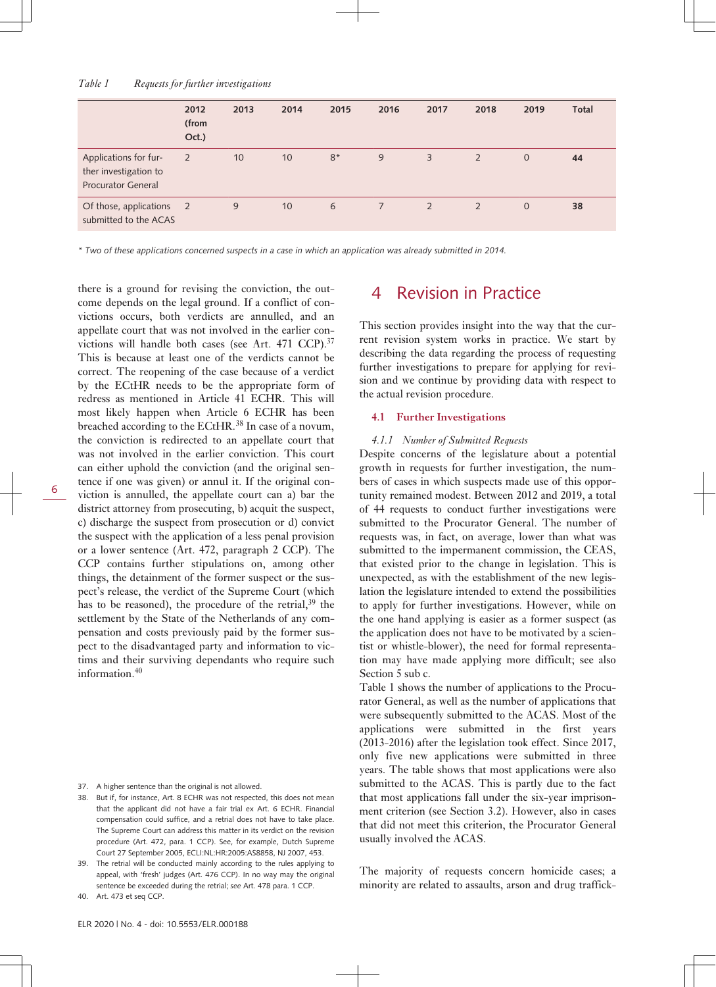### *Table 1 Requests for further investigations*

|                                                                             | 2012<br>(from<br>Oct.) | 2013 | 2014 | 2015 | 2016           | 2017           | 2018           | 2019           | Total |
|-----------------------------------------------------------------------------|------------------------|------|------|------|----------------|----------------|----------------|----------------|-------|
| Applications for fur-<br>ther investigation to<br><b>Procurator General</b> | 2                      | 10   | 10   | $8*$ | 9              | $\overline{3}$ | $\overline{2}$ | $\mathbf{0}$   | 44    |
| Of those, applications 2<br>submitted to the ACAS                           |                        | 9    | 10   | 6    | $\overline{7}$ | 2              | 2              | $\overline{0}$ | 38    |

*\* Two of these applications concerned suspects in a case in which an application was already submitted in 2014.*

there is a ground for revising the conviction, the outcome depends on the legal ground. If a conflict of convictions occurs, both verdicts are annulled, and an appellate court that was not involved in the earlier convictions will handle both cases (see Art. 471 CCP).<sup>37</sup> This is because at least one of the verdicts cannot be correct. The reopening of the case because of a verdict by the ECtHR needs to be the appropriate form of redress as mentioned in Article 41 ECHR. This will most likely happen when Article 6 ECHR has been breached according to the ECtHR.38 In case of a novum, the conviction is redirected to an appellate court that was not involved in the earlier conviction. This court can either uphold the conviction (and the original sentence if one was given) or annul it. If the original conviction is annulled, the appellate court can a) bar the district attorney from prosecuting, b) acquit the suspect, c) discharge the suspect from prosecution or d) convict the suspect with the application of a less penal provision or a lower sentence (Art. 472, paragraph 2 CCP). The CCP contains further stipulations on, among other things, the detainment of the former suspect or the suspect's release, the verdict of the Supreme Court (which has to be reasoned), the procedure of the retrial,  $39$  the settlement by the State of the Netherlands of any compensation and costs previously paid by the former suspect to the disadvantaged party and information to victims and their surviving dependants who require such information.<sup>40</sup>

40. Art. 473 et seq CCP.

### 4 Revision in Practice

This section provides insight into the way that the current revision system works in practice. We start by describing the data regarding the process of requesting further investigations to prepare for applying for revision and we continue by providing data with respect to the actual revision procedure.

### **4.1 Further Investigations**

#### *4.1.1 Number of Submitted Requests*

Despite concerns of the legislature about a potential growth in requests for further investigation, the numbers of cases in which suspects made use of this opportunity remained modest. Between 2012 and 2019, a total of 44 requests to conduct further investigations were submitted to the Procurator General. The number of requests was, in fact, on average, lower than what was submitted to the impermanent commission, the CEAS, that existed prior to the change in legislation. This is unexpected, as with the establishment of the new legislation the legislature intended to extend the possibilities to apply for further investigations. However, while on the one hand applying is easier as a former suspect (as the application does not have to be motivated by a scientist or whistle-blower), the need for formal representation may have made applying more difficult; see also Section 5 sub c.

Table 1 shows the number of applications to the Procurator General, as well as the number of applications that were subsequently submitted to the ACAS. Most of the applications were submitted in the first years (2013-2016) after the legislation took effect. Since 2017, only five new applications were submitted in three years. The table shows that most applications were also submitted to the ACAS. This is partly due to the fact that most applications fall under the six-year imprisonment criterion (see Section 3.2). However, also in cases that did not meet this criterion, the Procurator General usually involved the ACAS.

The majority of requests concern homicide cases; a minority are related to assaults, arson and drug traffick-

<sup>37.</sup> A higher sentence than the original is not allowed.

<sup>38.</sup> But if, for instance, Art. 8 ECHR was not respected, this does not mean that the applicant did not have a fair trial ex Art. 6 ECHR. Financial compensation could suffice, and a retrial does not have to take place. The Supreme Court can address this matter in its verdict on the revision procedure (Art. 472, para. 1 CCP). See, for example, Dutch Supreme Court 27 September 2005, ECLI:NL:HR:2005:AS8858, NJ 2007, 453.

The retrial will be conducted mainly according to the rules applying to appeal, with 'fresh' judges (Art. 476 CCP). In no way may the original sentence be exceeded during the retrial; *see* Art. 478 para. 1 CCP.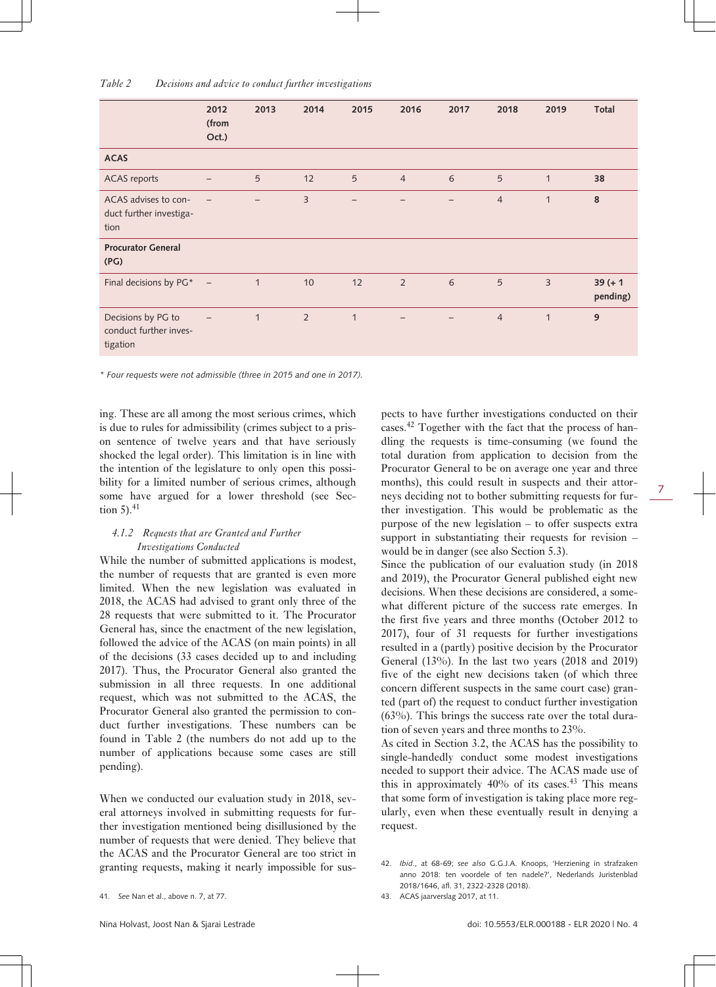|                                                          | 2012<br>(from<br>Oct.)   | 2013           | 2014           | 2015        | 2016           | 2017 | 2018           | 2019           | Total                  |
|----------------------------------------------------------|--------------------------|----------------|----------------|-------------|----------------|------|----------------|----------------|------------------------|
| <b>ACAS</b>                                              |                          |                |                |             |                |      |                |                |                        |
| <b>ACAS</b> reports                                      | -                        | $\overline{5}$ | 12             | 5           | $\overline{4}$ | 6    | 5              | $\mathbf{1}$   | 38                     |
| ACAS advises to con-<br>duct further investiga-<br>tion  | -                        |                | 3              |             |                |      | $\overline{4}$ | $\mathbf{1}$   | 8                      |
| <b>Procurator General</b><br>(PG)                        |                          |                |                |             |                |      |                |                |                        |
| Final decisions by PG*                                   | $\overline{\phantom{a}}$ | $\mathbf 1$    | 10             | 12          | 2              | 6    | 5              | $\overline{3}$ | $39 (+ 1)$<br>pending) |
| Decisions by PG to<br>conduct further inves-<br>tigation |                          | $\mathbf{1}$   | $\overline{2}$ | $\mathbf 1$ |                |      | $\overline{4}$ | $\mathbf{1}$   | 9                      |

*\* Four requests were not admissible (three in 2015 and one in 2017).*

ing. These are all among the most serious crimes, which is due to rules for admissibility (crimes subject to a prison sentence of twelve years and that have seriously shocked the legal order). This limitation is in line with the intention of the legislature to only open this possibility for a limited number of serious crimes, although some have argued for a lower threshold (see Section  $5$ ). $41$ 

### *4.1.2 Requests that are Granted and Further Investigations Conducted*

While the number of submitted applications is modest, the number of requests that are granted is even more limited. When the new legislation was evaluated in 2018, the ACAS had advised to grant only three of the 28 requests that were submitted to it. The Procurator General has, since the enactment of the new legislation, followed the advice of the ACAS (on main points) in all of the decisions (33 cases decided up to and including 2017). Thus, the Procurator General also granted the submission in all three requests. In one additional request, which was not submitted to the ACAS, the Procurator General also granted the permission to conduct further investigations. These numbers can be found in Table 2 (the numbers do not add up to the number of applications because some cases are still pending).

When we conducted our evaluation study in 2018, several attorneys involved in submitting requests for further investigation mentioned being disillusioned by the number of requests that were denied. They believe that the ACAS and the Procurator General are too strict in granting requests, making it nearly impossible for suspects to have further investigations conducted on their cases.42 Together with the fact that the process of handling the requests is time-consuming (we found the total duration from application to decision from the Procurator General to be on average one year and three months), this could result in suspects and their attorneys deciding not to bother submitting requests for further investigation. This would be problematic as the purpose of the new legislation – to offer suspects extra support in substantiating their requests for revision – would be in danger (see also Section 5.3).

Since the publication of our evaluation study (in 2018 and 2019), the Procurator General published eight new decisions. When these decisions are considered, a somewhat different picture of the success rate emerges. In the first five years and three months (October 2012 to 2017), four of 31 requests for further investigations resulted in a (partly) positive decision by the Procurator General (13%). In the last two years (2018 and 2019) five of the eight new decisions taken (of which three concern different suspects in the same court case) granted (part of) the request to conduct further investigation (63%). This brings the success rate over the total duration of seven years and three months to 23%.

As cited in Section 3.2, the ACAS has the possibility to single-handedly conduct some modest investigations needed to support their advice. The ACAS made use of this in approximately  $40\%$  of its cases.<sup>43</sup> This means that some form of investigation is taking place more regularly, even when these eventually result in denying a request.

<sup>41.</sup> *See* Nan et al., above n. 7, at 77.

<sup>42.</sup> *Ibid*., at 68-69; *see also* G.G.J.A. Knoops, 'Herziening in strafzaken anno 2018: ten voordele of ten nadele?', Nederlands Juristenblad 2018/1646, afl. 31, 2322-2328 (2018).

<sup>43.</sup> ACAS jaarverslag 2017, at 11.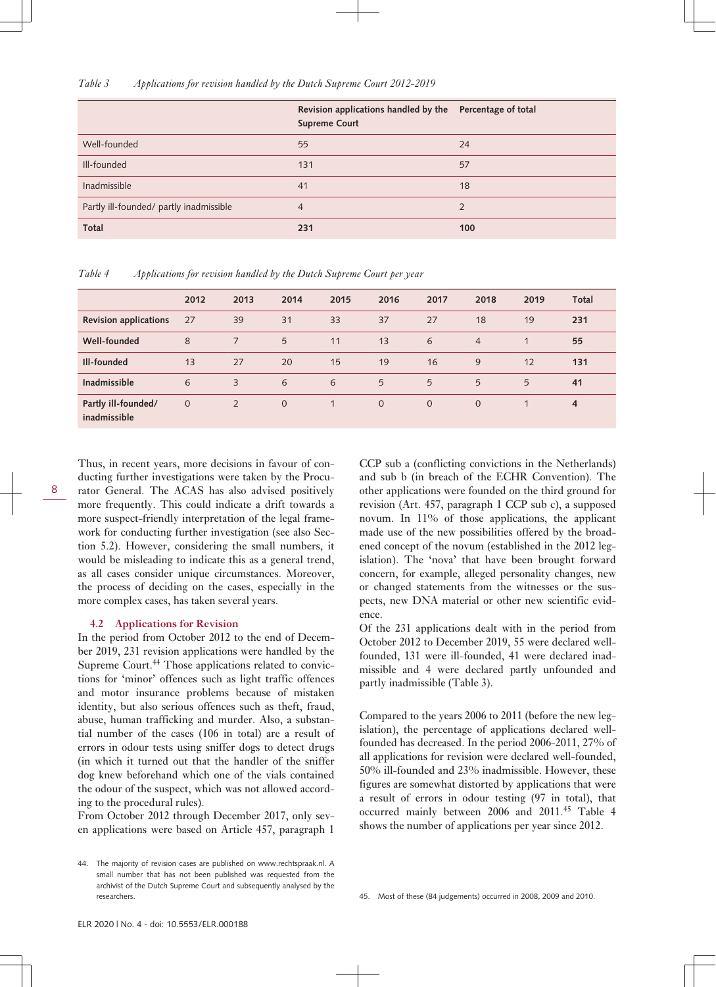### *Table 3 Applications for revision handled by the Dutch Supreme Court 2012-2019*

|                                         | Revision applications handled by the Percentage of total<br><b>Supreme Court</b> |     |
|-----------------------------------------|----------------------------------------------------------------------------------|-----|
| Well-founded                            | 55                                                                               | 24  |
| Ill-founded                             | 131                                                                              | 57  |
| Inadmissible                            | 41                                                                               | 18  |
| Partly ill-founded/ partly inadmissible | 4                                                                                |     |
| <b>Total</b>                            | 231                                                                              | 100 |

*Table 4 Applications for revision handled by the Dutch Supreme Court per year*

|                                     | 2012         | 2013           | 2014           | 2015 | 2016         | 2017     | 2018           | 2019 | Total          |
|-------------------------------------|--------------|----------------|----------------|------|--------------|----------|----------------|------|----------------|
| <b>Revision applications</b>        | 27           | 39             | 31             | 33   | 37           | 27       | 18             | 19   | 231            |
| Well-founded                        | 8            | $\overline{7}$ | 5              | 11   | 13           | 6        | $\overline{4}$ |      | 55             |
| Ill-founded                         | 13           | 27             | 20             | 15   | 19           | 16       | 9              | 12   | 131            |
| <b>Inadmissible</b>                 | 6            | 3              | 6              | 6    | 5            | 5        | 5              | 5    | 41             |
| Partly ill-founded/<br>inadmissible | $\mathbf{0}$ | 2              | $\overline{0}$ | 1    | $\mathbf{0}$ | $\Omega$ | $\Omega$       | 1    | $\overline{4}$ |

Thus, in recent years, more decisions in favour of conducting further investigations were taken by the Procurator General. The ACAS has also advised positively more frequently. This could indicate a drift towards a more suspect-friendly interpretation of the legal framework for conducting further investigation (see also Section 5.2). However, considering the small numbers, it would be misleading to indicate this as a general trend, as all cases consider unique circumstances. Moreover, the process of deciding on the cases, especially in the

### **4.2 Applications for Revision**

8

more complex cases, has taken several years.

In the period from October 2012 to the end of December 2019, 231 revision applications were handled by the Supreme Court.<sup>44</sup> Those applications related to convictions for 'minor' offences such as light traffic offences and motor insurance problems because of mistaken identity, but also serious offences such as theft, fraud, abuse, human trafficking and murder. Also, a substantial number of the cases (106 in total) are a result of errors in odour tests using sniffer dogs to detect drugs (in which it turned out that the handler of the sniffer dog knew beforehand which one of the vials contained the odour of the suspect, which was not allowed according to the procedural rules).

From October 2012 through December 2017, only seven applications were based on Article 457, paragraph 1 CCP sub a (conflicting convictions in the Netherlands) and sub b (in breach of the ECHR Convention). The other applications were founded on the third ground for revision (Art. 457, paragraph 1 CCP sub c), a supposed novum. In 11% of those applications, the applicant made use of the new possibilities offered by the broadened concept of the novum (established in the 2012 legislation). The 'nova' that have been brought forward concern, for example, alleged personality changes, new or changed statements from the witnesses or the suspects, new DNA material or other new scientific evidence.

Of the 231 applications dealt with in the period from October 2012 to December 2019, 55 were declared wellfounded, 131 were ill-founded, 41 were declared inadmissible and 4 were declared partly unfounded and partly inadmissible (Table 3).

Compared to the years 2006 to 2011 (before the new legislation), the percentage of applications declared wellfounded has decreased. In the period 2006-2011, 27% of all applications for revision were declared well-founded, 50% ill-founded and 23% inadmissible. However, these figures are somewhat distorted by applications that were a result of errors in odour testing (97 in total), that occurred mainly between 2006 and 2011.<sup>45</sup> Table 4 shows the number of applications per year since 2012.

<sup>44.</sup> The majority of revision cases are published on [www.rechtspraak.nl](http://www.rechtspraak.nl). A small number that has not been published was requested from the archivist of the Dutch Supreme Court and subsequently analysed by the researchers.

<sup>45.</sup> Most of these (84 judgements) occurred in 2008, 2009 and 2010.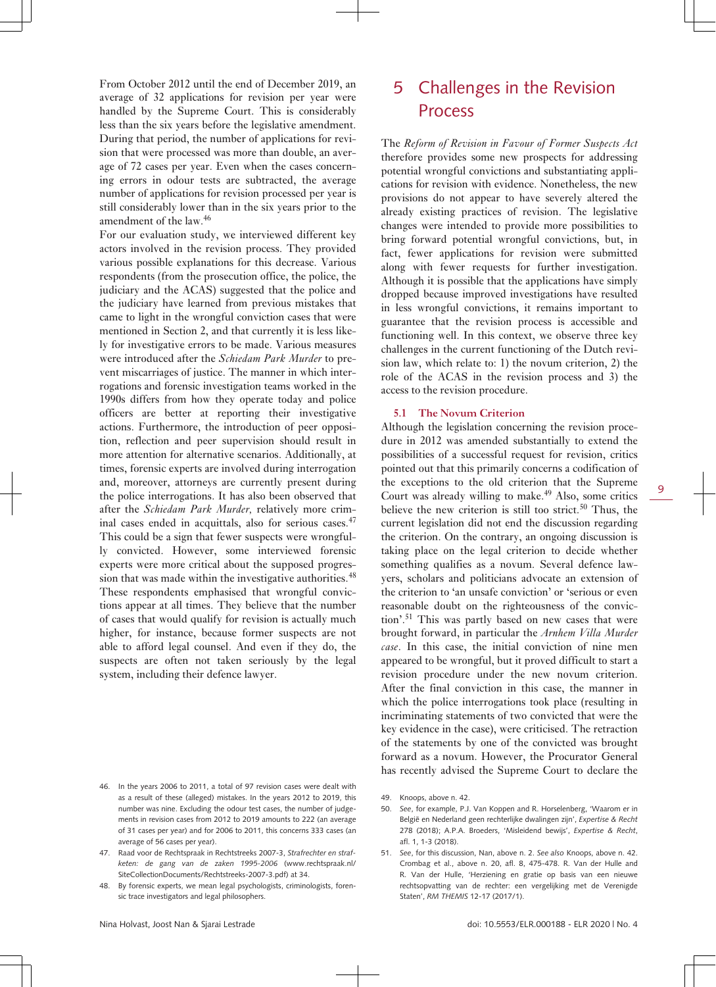From October 2012 until the end of December 2019, an average of 32 applications for revision per year were handled by the Supreme Court. This is considerably less than the six years before the legislative amendment. During that period, the number of applications for revision that were processed was more than double, an average of 72 cases per year. Even when the cases concerning errors in odour tests are subtracted, the average number of applications for revision processed per year is still considerably lower than in the six years prior to the amendment of the law.<sup>46</sup>

For our evaluation study, we interviewed different key actors involved in the revision process. They provided various possible explanations for this decrease. Various respondents (from the prosecution office, the police, the judiciary and the ACAS) suggested that the police and the judiciary have learned from previous mistakes that came to light in the wrongful conviction cases that were mentioned in Section 2, and that currently it is less likely for investigative errors to be made. Various measures were introduced after the *Schiedam Park Murder* to prevent miscarriages of justice. The manner in which interrogations and forensic investigation teams worked in the 1990s differs from how they operate today and police officers are better at reporting their investigative actions. Furthermore, the introduction of peer opposition, reflection and peer supervision should result in more attention for alternative scenarios. Additionally, at times, forensic experts are involved during interrogation and, moreover, attorneys are currently present during the police interrogations. It has also been observed that after the *Schiedam Park Murder,* relatively more criminal cases ended in acquittals, also for serious cases.<sup>47</sup> This could be a sign that fewer suspects were wrongfully convicted. However, some interviewed forensic experts were more critical about the supposed progression that was made within the investigative authorities.<sup>48</sup> These respondents emphasised that wrongful convictions appear at all times. They believe that the number of cases that would qualify for revision is actually much higher, for instance, because former suspects are not able to afford legal counsel. And even if they do, the suspects are often not taken seriously by the legal system, including their defence lawyer.

# 5 Challenges in the Revision Process

The *Reform of Revision in Favour of Former Suspects Act* therefore provides some new prospects for addressing potential wrongful convictions and substantiating applications for revision with evidence. Nonetheless, the new provisions do not appear to have severely altered the already existing practices of revision. The legislative changes were intended to provide more possibilities to bring forward potential wrongful convictions, but, in fact, fewer applications for revision were submitted along with fewer requests for further investigation. Although it is possible that the applications have simply dropped because improved investigations have resulted in less wrongful convictions, it remains important to guarantee that the revision process is accessible and functioning well. In this context, we observe three key challenges in the current functioning of the Dutch revision law, which relate to: 1) the novum criterion, 2) the role of the ACAS in the revision process and 3) the access to the revision procedure.

### **5.1 The Novum Criterion**

Although the legislation concerning the revision procedure in 2012 was amended substantially to extend the possibilities of a successful request for revision, critics pointed out that this primarily concerns a codification of the exceptions to the old criterion that the Supreme Court was already willing to make. $49$  Also, some critics believe the new criterion is still too strict.<sup>50</sup> Thus, the current legislation did not end the discussion regarding the criterion. On the contrary, an ongoing discussion is taking place on the legal criterion to decide whether something qualifies as a novum. Several defence lawyers, scholars and politicians advocate an extension of the criterion to 'an unsafe conviction' or 'serious or even reasonable doubt on the righteousness of the conviction'.51 This was partly based on new cases that were brought forward, in particular the *Arnhem Villa Murder case*. In this case, the initial conviction of nine men appeared to be wrongful, but it proved difficult to start a revision procedure under the new novum criterion. After the final conviction in this case, the manner in which the police interrogations took place (resulting in incriminating statements of two convicted that were the key evidence in the case), were criticised. The retraction of the statements by one of the convicted was brought forward as a novum. However, the Procurator General has recently advised the Supreme Court to declare the

<sup>46.</sup> In the years 2006 to 2011, a total of 97 revision cases were dealt with as a result of these (alleged) mistakes. In the years 2012 to 2019, this number was nine. Excluding the odour test cases, the number of judgements in revision cases from 2012 to 2019 amounts to 222 (an average of 31 cases per year) and for 2006 to 2011, this concerns 333 cases (an average of 56 cases per year).

<sup>47.</sup> Raad voor de Rechtspraak in Rechtstreeks 2007-3, *Strafrechter en strafketen: de gang van de zaken 1995-2006* ([www.rechtspraak.nl/](http://www.rechtspraak.nl/SiteCollectionDocuments/Rechtstreeks-2007-3.pdf) [SiteCollectionDocuments/Rechtstreeks-2007-3.pdf](http://www.rechtspraak.nl/SiteCollectionDocuments/Rechtstreeks-2007-3.pdf)) at 34.

<sup>48.</sup> By forensic experts, we mean legal psychologists, criminologists, forensic trace investigators and legal philosophers.

<sup>49.</sup> Knoops, above n. 42.

<sup>50.</sup> *See*, for example, P.J. Van Koppen and R. Horselenberg, 'Waarom er in België en Nederland geen rechterlijke dwalingen zijn', *Expertise & Recht* 278 (2018); A.P.A. Broeders, 'Misleidend bewijs', *Expertise & Recht*, afl. 1, 1-3 (2018).

<sup>51.</sup> *See*, for this discussion, Nan, above n. 2. *See also* Knoops, above n. 42. Crombag et al., above n. 20, afl. 8, 475-478. R. Van der Hulle and R. Van der Hulle, 'Herziening en gratie op basis van een nieuwe rechtsopvatting van de rechter: een vergelijking met de Verenigde Staten', *RM THEMIS* 12-17 (2017/1).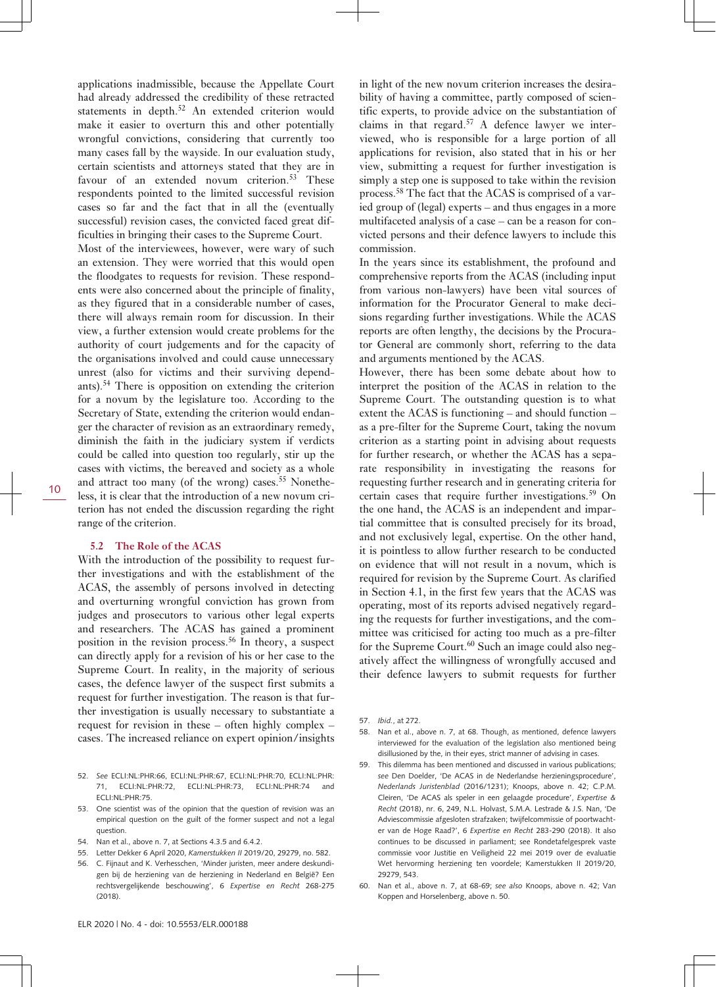applications inadmissible, because the Appellate Court had already addressed the credibility of these retracted statements in depth.<sup>52</sup> An extended criterion would make it easier to overturn this and other potentially wrongful convictions, considering that currently too many cases fall by the wayside. In our evaluation study, certain scientists and attorneys stated that they are in favour of an extended novum criterion.<sup>53</sup> These respondents pointed to the limited successful revision cases so far and the fact that in all the (eventually successful) revision cases, the convicted faced great difficulties in bringing their cases to the Supreme Court.

Most of the interviewees, however, were wary of such an extension. They were worried that this would open the floodgates to requests for revision. These respondents were also concerned about the principle of finality, as they figured that in a considerable number of cases, there will always remain room for discussion. In their view, a further extension would create problems for the authority of court judgements and for the capacity of the organisations involved and could cause unnecessary unrest (also for victims and their surviving dependants).<sup>54</sup> There is opposition on extending the criterion for a novum by the legislature too. According to the Secretary of State, extending the criterion would endanger the character of revision as an extraordinary remedy, diminish the faith in the judiciary system if verdicts could be called into question too regularly, stir up the cases with victims, the bereaved and society as a whole and attract too many (of the wrong) cases.<sup>55</sup> Nonetheless, it is clear that the introduction of a new novum criterion has not ended the discussion regarding the right range of the criterion.

### **5.2 The Role of the ACAS**

With the introduction of the possibility to request further investigations and with the establishment of the ACAS, the assembly of persons involved in detecting and overturning wrongful conviction has grown from judges and prosecutors to various other legal experts and researchers. The ACAS has gained a prominent position in the revision process.<sup>56</sup> In theory, a suspect can directly apply for a revision of his or her case to the Supreme Court. In reality, in the majority of serious cases, the defence lawyer of the suspect first submits a request for further investigation. The reason is that further investigation is usually necessary to substantiate a request for revision in these – often highly complex – cases. The increased reliance on expert opinion/insights

- 52. *See* ECLI:NL:PHR:66, ECLI:NL:PHR:67, ECLI:NL:PHR:70, ECLI:NL:PHR: 71, ECLI:NL:PHR:72, ECLI:NL:PHR:73, ECLI:NL:PHR:74 and ECLI:NL:PHR:75.
- 53. One scientist was of the opinion that the question of revision was an empirical question on the guilt of the former suspect and not a legal question.
- 54. Nan et al., above n. 7, at Sections 4.3.5 and 6.4.2.
- 55. Letter Dekker 6 April 2020, *Kamerstukken II* 2019/20, 29279, no. 582.
- 56. C. Fijnaut and K. Verhesschen, 'Minder juristen, meer andere deskundigen bij de herziening van de herziening in Nederland en België? Een rechtsvergelijkende beschouwing', 6 *Expertise en Recht* 268-275 (2018).

in light of the new novum criterion increases the desirability of having a committee, partly composed of scientific experts, to provide advice on the substantiation of claims in that regard.57 A defence lawyer we interviewed, who is responsible for a large portion of all applications for revision, also stated that in his or her view, submitting a request for further investigation is simply a step one is supposed to take within the revision process.58 The fact that the ACAS is comprised of a varied group of (legal) experts – and thus engages in a more multifaceted analysis of a case – can be a reason for convicted persons and their defence lawyers to include this commission.

In the years since its establishment, the profound and comprehensive reports from the ACAS (including input from various non-lawyers) have been vital sources of information for the Procurator General to make decisions regarding further investigations. While the ACAS reports are often lengthy, the decisions by the Procurator General are commonly short, referring to the data and arguments mentioned by the ACAS.

However, there has been some debate about how to interpret the position of the ACAS in relation to the Supreme Court. The outstanding question is to what extent the ACAS is functioning – and should function – as a pre-filter for the Supreme Court, taking the novum criterion as a starting point in advising about requests for further research, or whether the ACAS has a separate responsibility in investigating the reasons for requesting further research and in generating criteria for certain cases that require further investigations.<sup>59</sup> On the one hand, the ACAS is an independent and impartial committee that is consulted precisely for its broad, and not exclusively legal, expertise. On the other hand, it is pointless to allow further research to be conducted on evidence that will not result in a novum, which is required for revision by the Supreme Court. As clarified in Section 4.1, in the first few years that the ACAS was operating, most of its reports advised negatively regarding the requests for further investigations, and the committee was criticised for acting too much as a pre-filter for the Supreme Court.<sup>60</sup> Such an image could also negatively affect the willingness of wrongfully accused and their defence lawyers to submit requests for further

- 58. Nan et al., above n. 7, at 68. Though, as mentioned, defence lawyers interviewed for the evaluation of the legislation also mentioned being disillusioned by the, in their eyes, strict manner of advising in cases.
- This dilemma has been mentioned and discussed in various publications; *see* Den Doelder, 'De ACAS in de Nederlandse herzieningsprocedure', *Nederlands Juristenblad* (2016/1231); Knoops, above n. 42; C.P.M. Cleiren, 'De ACAS als speler in een gelaagde procedure', *Expertise & Recht* (2018), nr. 6, 249, N.L. Holvast, S.M.A. Lestrade & J.S. Nan, 'De Adviescommissie afgesloten strafzaken; twijfelcommissie of poortwachter van de Hoge Raad?', 6 *Expertise en Recht* 283-290 (2018). It also continues to be discussed in parliament; see Rondetafelgesprek vaste commissie voor Justitie en Veiligheid 22 mei 2019 over de evaluatie Wet hervorming herziening ten voordele; Kamerstukken II 2019/20, 29279, 543.
- 60. Nan et al., above n. 7, at 68-69; *see also* Knoops, above n. 42; Van Koppen and Horselenberg, above n. 50.

<sup>57.</sup> *Ibid.*, at 272.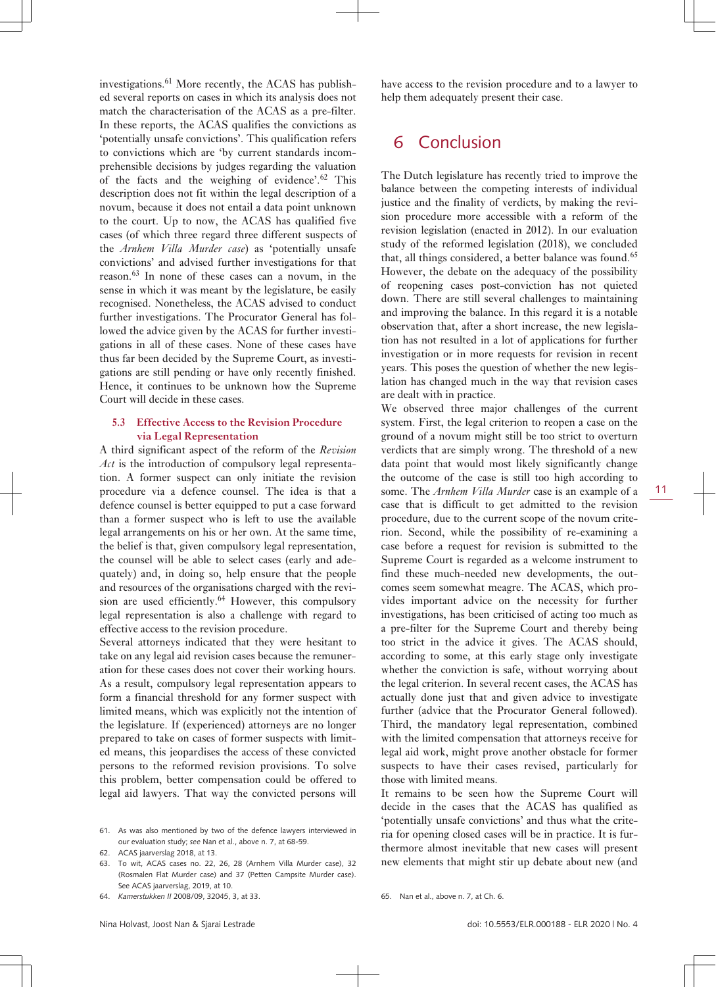investigations.61 More recently, the ACAS has published several reports on cases in which its analysis does not match the characterisation of the ACAS as a pre-filter. In these reports, the ACAS qualifies the convictions as 'potentially unsafe convictions'. This qualification refers to convictions which are 'by current standards incomprehensible decisions by judges regarding the valuation of the facts and the weighing of evidence'.<sup>62</sup> This description does not fit within the legal description of a novum, because it does not entail a data point unknown to the court. Up to now, the ACAS has qualified five cases (of which three regard three different suspects of the *Arnhem Villa Murder case*) as 'potentially unsafe convictions' and advised further investigations for that reason.<sup>63</sup> In none of these cases can a novum, in the sense in which it was meant by the legislature, be easily recognised. Nonetheless, the ACAS advised to conduct further investigations. The Procurator General has followed the advice given by the ACAS for further investigations in all of these cases. None of these cases have thus far been decided by the Supreme Court, as investigations are still pending or have only recently finished. Hence, it continues to be unknown how the Supreme Court will decide in these cases.

### **5.3 Effective Access to the Revision Procedure via Legal Representation**

A third significant aspect of the reform of the *Revision Act* is the introduction of compulsory legal representation. A former suspect can only initiate the revision procedure via a defence counsel. The idea is that a defence counsel is better equipped to put a case forward than a former suspect who is left to use the available legal arrangements on his or her own. At the same time, the belief is that, given compulsory legal representation, the counsel will be able to select cases (early and adequately) and, in doing so, help ensure that the people and resources of the organisations charged with the revision are used efficiently.<sup>64</sup> However, this compulsory legal representation is also a challenge with regard to effective access to the revision procedure.

Several attorneys indicated that they were hesitant to take on any legal aid revision cases because the remuneration for these cases does not cover their working hours. As a result, compulsory legal representation appears to form a financial threshold for any former suspect with limited means, which was explicitly not the intention of the legislature. If (experienced) attorneys are no longer prepared to take on cases of former suspects with limited means, this jeopardises the access of these convicted persons to the reformed revision provisions. To solve this problem, better compensation could be offered to legal aid lawyers. That way the convicted persons will

- 61. As was also mentioned by two of the defence lawyers interviewed in our evaluation study; *see* Nan et al., above n. 7, at 68-59.
- 62. ACAS jaarverslag 2018, at 13.

63. To wit, ACAS cases no. 22, 26, 28 (Arnhem Villa Murder case), 32 (Rosmalen Flat Murder case) and 37 (Petten Campsite Murder case). See ACAS jaarverslag, 2019, at 10.

64. *Kamerstukken II* 2008/09, 32045, 3, at 33.

have access to the revision procedure and to a lawyer to help them adequately present their case.

## 6 Conclusion

The Dutch legislature has recently tried to improve the balance between the competing interests of individual justice and the finality of verdicts, by making the revision procedure more accessible with a reform of the revision legislation (enacted in 2012). In our evaluation study of the reformed legislation (2018), we concluded that, all things considered, a better balance was found.<sup>65</sup> However, the debate on the adequacy of the possibility of reopening cases post-conviction has not quieted down. There are still several challenges to maintaining and improving the balance. In this regard it is a notable observation that, after a short increase, the new legislation has not resulted in a lot of applications for further investigation or in more requests for revision in recent years. This poses the question of whether the new legislation has changed much in the way that revision cases are dealt with in practice.

We observed three major challenges of the current system. First, the legal criterion to reopen a case on the ground of a novum might still be too strict to overturn verdicts that are simply wrong. The threshold of a new data point that would most likely significantly change the outcome of the case is still too high according to some. The *Arnhem Villa Murder* case is an example of a case that is difficult to get admitted to the revision procedure, due to the current scope of the novum criterion. Second, while the possibility of re-examining a case before a request for revision is submitted to the Supreme Court is regarded as a welcome instrument to find these much-needed new developments, the outcomes seem somewhat meagre. The ACAS, which provides important advice on the necessity for further investigations, has been criticised of acting too much as a pre-filter for the Supreme Court and thereby being too strict in the advice it gives. The ACAS should, according to some, at this early stage only investigate whether the conviction is safe, without worrying about the legal criterion. In several recent cases, the ACAS has actually done just that and given advice to investigate further (advice that the Procurator General followed). Third, the mandatory legal representation, combined with the limited compensation that attorneys receive for legal aid work, might prove another obstacle for former suspects to have their cases revised, particularly for those with limited means.

It remains to be seen how the Supreme Court will decide in the cases that the ACAS has qualified as 'potentially unsafe convictions' and thus what the criteria for opening closed cases will be in practice. It is furthermore almost inevitable that new cases will present new elements that might stir up debate about new (and

<sup>65.</sup> Nan et al., above n. 7, at Ch. 6.